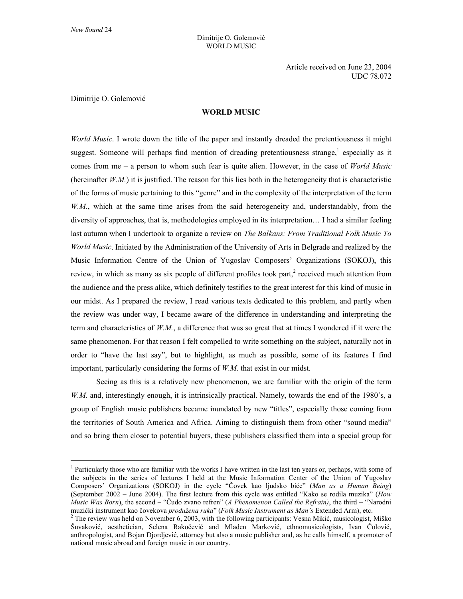$\overline{a}$ 

Article received on June 23, 2004 UDC 78.072

Dimitrije O. Golemović

## **WORLD MUSIC**

*World Music*. I wrote down the title of the paper and instantly dreaded the pretentiousness it might suggest. Someone will perhaps find mention of dreading pretentiousness strange,<sup>1</sup> especially as it comes from me – a person to whom such fear is quite alien. However, in the case of *World Music* (hereinafter  $W.M.$ ) it is justified. The reason for this lies both in the heterogeneity that is characteristic of the forms of music pertaining to this "genre" and in the complexity of the interpretation of the term *W.M.*, which at the same time arises from the said heterogeneity and, understandably, from the diversity of approaches, that is, methodologies employed in its interpretation… I had a similar feeling last autumn when I undertook to organize a review on *The Balkans: From Traditional Folk Music To World Music*. Initiated by the Administration of the University of Arts in Belgrade and realized by the Music Information Centre of the Union of Yugoslav Composers' Organizations (SOKOJ), this review, in which as many as six people of different profiles took part, $3$  received much attention from the audience and the press alike, which definitely testifies to the great interest for this kind of music in our midst. As I prepared the review, I read various texts dedicated to this problem, and partly when the review was under way, I became aware of the difference in understanding and interpreting the term and characteristics of *W.M.*, a difference that was so great that at times I wondered if it were the same phenomenon. For that reason I felt compelled to write something on the subject, naturally not in order to "have the last say", but to highlight, as much as possible, some of its features I find important, particularly considering the forms of *W.M.* that exist in our midst.

Seeing as this is a relatively new phenomenon, we are familiar with the origin of the term *W.M.* and, interestingly enough, it is intrinsically practical. Namely, towards the end of the 1980's, a group of English music publishers became inundated by new "titles", especially those coming from the territories of South America and Africa. Aiming to distinguish them from other "sound media" and so bring them closer to potential buyers, these publishers classified them into a special group for

<sup>&</sup>lt;sup>1</sup> Particularly those who are familiar with the works I have written in the last ten years or, perhaps, with some of the subjects in the series of lectures I held at the Music Information Center of the Union of Yugoslav Composers' Organizations (SOKOJ) in the cycle "Čovek kao ljudsko biće" (*Man as a Human Being*) (September 2002 – June 2004). The first lecture from this cycle was entitled "Kako se rodila muzika" (*How Music Was Born*), the second – "Čudo zvano refren" (*A Phenomenon Called the Refrain)*, the third – "Narodni muzički instrument kao čovekova *produžena ruka*" (*Folk Music Instrument as Man's* Extended Arm), etc. <sup>2</sup>

 $2$  The review was held on November 6, 2003, with the following participants: Vesna Mikić, musicologist, Miško Šuvaković, aesthetician, Selena Rakočević and Mladen Marković, ethnomusicologists, Ivan Čolović, anthropologist, and Bojan Djordjević, attorney but also a music publisher and, as he calls himself, a promoter of national music abroad and foreign music in our country.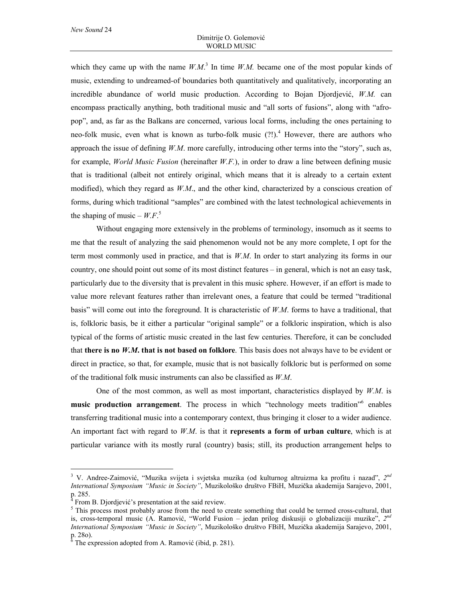which they came up with the name  $W.M$ .<sup>3</sup> In time  $W.M$ . became one of the most popular kinds of music, extending to undreamed-of boundaries both quantitatively and qualitatively, incorporating an incredible abundance of world music production. According to Bojan Djordjević, *W.M.* can encompass practically anything, both traditional music and "all sorts of fusions", along with "afropop", and, as far as the Balkans are concerned, various local forms, including the ones pertaining to neo-folk music, even what is known as turbo-folk music  $(?)$ .<sup>4</sup> However, there are authors who approach the issue of defining *W.M*. more carefully, introducing other terms into the "story", such as, for example, *World Music Fusion* (hereinafter *W.F.*), in order to draw a line between defining music that is traditional (albeit not entirely original, which means that it is already to a certain extent modified), which they regard as *W.M*., and the other kind, characterized by a conscious creation of forms, during which traditional "samples" are combined with the latest technological achievements in the shaping of music –  $W.F$ <sup>5</sup>

Without engaging more extensively in the problems of terminology, insomuch as it seems to me that the result of analyzing the said phenomenon would not be any more complete, I opt for the term most commonly used in practice, and that is *W.M*. In order to start analyzing its forms in our country, one should point out some of its most distinct features – in general, which is not an easy task, particularly due to the diversity that is prevalent in this music sphere. However, if an effort is made to value more relevant features rather than irrelevant ones, a feature that could be termed "traditional basis" will come out into the foreground. It is characteristic of *W.M*. forms to have a traditional, that is, folkloric basis, be it either a particular "original sample" or a folkloric inspiration, which is also typical of the forms of artistic music created in the last few centuries. Therefore, it can be concluded that **there is no** *W.M***. that is not based on folklore**. This basis does not always have to be evident or direct in practice, so that, for example, music that is not basically folkloric but is performed on some of the traditional folk music instruments can also be classified as *W.M*.

One of the most common, as well as most important, characteristics displayed by *W.M*. is music production arrangement. The process in which "technology meets tradition"<sup>6</sup> enables transferring traditional music into a contemporary context, thus bringing it closer to a wider audience. An important fact with regard to *W.M*. is that it **represents a form of urban culture**, which is at particular variance with its mostly rural (country) basis; still, its production arrangement helps to

 $\overline{a}$ 

<sup>3</sup> V. Andree-Zaimović, "Muzika svijeta i svjetska muzika (od kulturnog altruizma ka profitu i nazad", *2nd International Symposium "Music in Society"*, Muzikološko društvo FBiH, Muzička akademija Sarajevo, 2001, p. 285.<br><sup>4</sup> Exam

From B. Djordjević's presentation at the said review.

<sup>&</sup>lt;sup>5</sup> This process most probably arose from the need to create something that could be termed cross-cultural, that is, cross-temporal music (A. Ramović, "World Fusion – jedan prilog diskusiji o globalizaciji muzike", *2nd International Symposium "Music in Society"*, Muzikološko društvo FBiH, Muzička akademija Sarajevo, 2001, p. 280).<br><sup>6</sup> The ex

The expression adopted from A. Ramović (ibid, p. 281).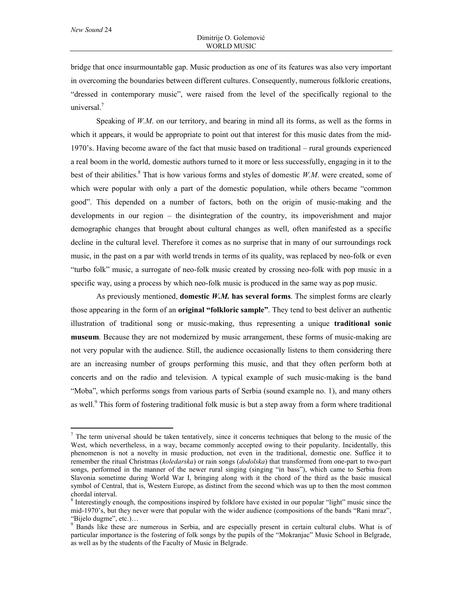$\overline{a}$ 

bridge that once insurmountable gap. Music production as one of its features was also very important in overcoming the boundaries between different cultures. Consequently, numerous folkloric creations, "dressed in contemporary music", were raised from the level of the specifically regional to the universal. $<sup>7</sup>$ </sup>

Speaking of *W.M.* on our territory, and bearing in mind all its forms, as well as the forms in which it appears, it would be appropriate to point out that interest for this music dates from the mid-1970's. Having become aware of the fact that music based on traditional – rural grounds experienced a real boom in the world, domestic authors turned to it more or less successfully, engaging in it to the best of their abilities.<sup>8</sup> That is how various forms and styles of domestic *W.M.* were created, some of which were popular with only a part of the domestic population, while others became "common good". This depended on a number of factors, both on the origin of music-making and the developments in our region – the disintegration of the country, its impoverishment and major demographic changes that brought about cultural changes as well, often manifested as a specific decline in the cultural level. Therefore it comes as no surprise that in many of our surroundings rock music, in the past on a par with world trends in terms of its quality, was replaced by neo-folk or even "turbo folk" music, a surrogate of neo-folk music created by crossing neo-folk with pop music in a specific way, using a process by which neo-folk music is produced in the same way as pop music.

As previously mentioned, **domestic** *W.M.* **has several forms**. The simplest forms are clearly those appearing in the form of an **original "folkloric sample"**. They tend to best deliver an authentic illustration of traditional song or music-making, thus representing a unique **traditional sonic museum**. Because they are not modernized by music arrangement, these forms of music-making are not very popular with the audience. Still, the audience occasionally listens to them considering there are an increasing number of groups performing this music, and that they often perform both at concerts and on the radio and television. A typical example of such music-making is the band "Moba", which performs songs from various parts of Serbia (sound example no. 1), and many others as well.<sup>9</sup> This form of fostering traditional folk music is but a step away from a form where traditional

 $<sup>7</sup>$  The term universal should be taken tentatively, since it concerns techniques that belong to the music of the</sup> West, which nevertheless, in a way, became commonly accepted owing to their popularity. Incidentally, this phenomenon is not a novelty in music production, not even in the traditional, domestic one. Suffice it to remember the ritual Christmas (*koledarska*) or rain songs (*dodolska*) that transformed from one-part to two-part songs, performed in the manner of the newer rural singing (singing "in bass"), which came to Serbia from Slavonia sometime during World War I, bringing along with it the chord of the third as the basic musical symbol of Central, that is, Western Europe, as distinct from the second which was up to then the most common chordal interval.

<sup>&</sup>lt;sup>8</sup> Interestingly enough, the compositions inspired by folklore have existed in our popular "light" music since the mid-1970's, but they never were that popular with the wider audience (compositions of the bands "Rani mraz", "Bijelo dugme", etc.)… <sup>9</sup>

<sup>&</sup>lt;sup>9</sup> Bands like these are numerous in Serbia, and are especially present in certain cultural clubs. What is of particular importance is the fostering of folk songs by the pupils of the "Mokranjac" Music School in Belgrade, as well as by the students of the Faculty of Music in Belgrade.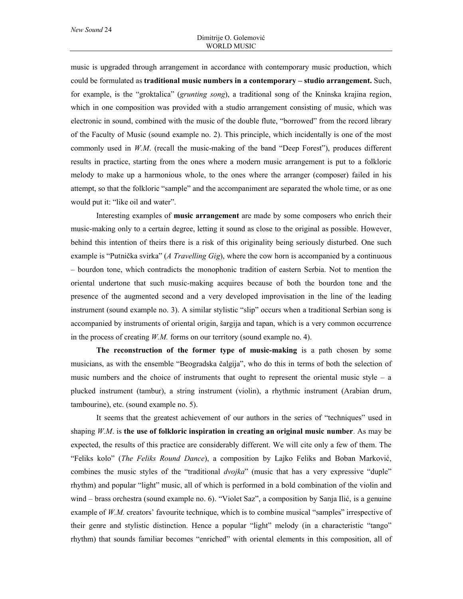music is upgraded through arrangement in accordance with contemporary music production, which could be formulated as **traditional music numbers in a contemporary – studio arrangement.** Such, for example, is the "groktalica" (*grunting song*), a traditional song of the Kninska krajina region, which in one composition was provided with a studio arrangement consisting of music, which was electronic in sound, combined with the music of the double flute, "borrowed" from the record library of the Faculty of Music (sound example no. 2). This principle, which incidentally is one of the most commonly used in *W.M*. (recall the music-making of the band "Deep Forest"), produces different results in practice, starting from the ones where a modern music arrangement is put to a folkloric melody to make up a harmonious whole, to the ones where the arranger (composer) failed in his attempt, so that the folkloric "sample" and the accompaniment are separated the whole time, or as one would put it: "like oil and water".

Interesting examples of **music arrangement** are made by some composers who enrich their music-making only to a certain degree, letting it sound as close to the original as possible. However, behind this intention of theirs there is a risk of this originality being seriously disturbed. One such example is "Putnička svirka" (*A Travelling Gig*), where the cow horn is accompanied by a continuous – bourdon tone, which contradicts the monophonic tradition of eastern Serbia. Not to mention the oriental undertone that such music-making acquires because of both the bourdon tone and the presence of the augmented second and a very developed improvisation in the line of the leading instrument (sound example no. 3). A similar stylistic "slip" occurs when a traditional Serbian song is accompanied by instruments of oriental origin, šargija and tapan, which is a very common occurrence in the process of creating *W.M.* forms on our territory (sound example no. 4).

**The reconstruction of the former type of music-making** is a path chosen by some musicians, as with the ensemble "Beogradska čalgija", who do this in terms of both the selection of music numbers and the choice of instruments that ought to represent the oriental music style – a plucked instrument (tambur), a string instrument (violin), a rhythmic instrument (Arabian drum, tambourine), etc. (sound example no. 5).

It seems that the greatest achievement of our authors in the series of "techniques" used in shaping *W.M*. is **the use of folkloric inspiration in creating an original music number**. As may be expected, the results of this practice are considerably different. We will cite only a few of them. The "Feliks kolo" (*The Feliks Round Dance*), a composition by Lajko Feliks and Boban Marković, combines the music styles of the "traditional *dvojka*" (music that has a very expressive "duple" rhythm) and popular "light" music, all of which is performed in a bold combination of the violin and wind – brass orchestra (sound example no. 6). "Violet Saz", a composition by Sanja Ilić, is a genuine example of *W.M.* creators' favourite technique, which is to combine musical "samples" irrespective of their genre and stylistic distinction. Hence a popular "light" melody (in a characteristic "tango" rhythm) that sounds familiar becomes "enriched" with oriental elements in this composition, all of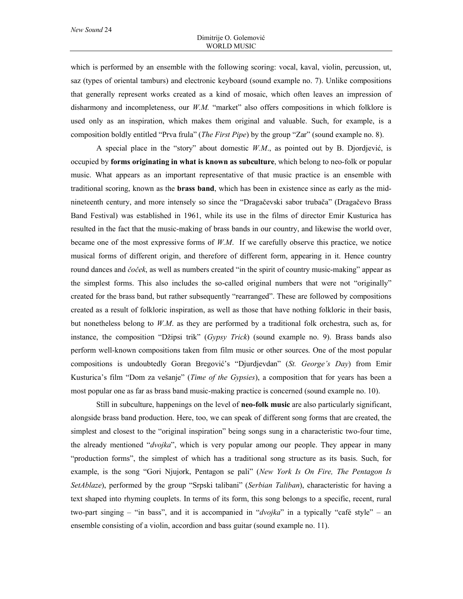which is performed by an ensemble with the following scoring: vocal, kaval, violin, percussion, ut, saz (types of oriental tamburs) and electronic keyboard (sound example no. 7). Unlike compositions that generally represent works created as a kind of mosaic, which often leaves an impression of disharmony and incompleteness, our *W.M.* "market" also offers compositions in which folklore is used only as an inspiration, which makes them original and valuable. Such, for example, is a composition boldly entitled "Prva frula" (*The First Pipe*) by the group "Zar" (sound example no. 8).

A special place in the "story" about domestic *W.M*., as pointed out by B. Djordjević, is occupied by **forms originating in what is known as subculture**, which belong to neo-folk or popular music. What appears as an important representative of that music practice is an ensemble with traditional scoring, known as the **brass band**, which has been in existence since as early as the midnineteenth century, and more intensely so since the "Dragačevski sabor trubača" (Dragačevo Brass Band Festival) was established in 1961, while its use in the films of director Emir Kusturica has resulted in the fact that the music-making of brass bands in our country, and likewise the world over, became one of the most expressive forms of *W.M*. If we carefully observe this practice, we notice musical forms of different origin, and therefore of different form, appearing in it. Hence country round dances and *čoček*, as well as numbers created "in the spirit of country music-making" appear as the simplest forms. This also includes the so-called original numbers that were not "originally" created for the brass band, but rather subsequently "rearranged". These are followed by compositions created as a result of folkloric inspiration, as well as those that have nothing folkloric in their basis, but nonetheless belong to *W.M*. as they are performed by a traditional folk orchestra, such as, for instance, the composition "Džipsi trik" (*Gypsy Trick*) (sound example no. 9). Brass bands also perform well-known compositions taken from film music or other sources. One of the most popular compositions is undoubtedly Goran Bregović's "Djurdjevdan" (*St. George's Day*) from Emir Kusturica's film "Dom za vešanje" (*Time of the Gypsies*), a composition that for years has been a most popular one as far as brass band music-making practice is concerned (sound example no. 10).

Still in subculture, happenings on the level of **neo-folk music** are also particularly significant, alongside brass band production. Here, too, we can speak of different song forms that are created, the simplest and closest to the "original inspiration" being songs sung in a characteristic two-four time, the already mentioned "*dvojka*", which is very popular among our people. They appear in many "production forms", the simplest of which has a traditional song structure as its basis. Such, for example, is the song "Gori Njujork, Pentagon se pali" (*New York Is On Fire, The Pentagon Is SetAblaze*), performed by the group "Srpski talibani" (*Serbian Taliban*), characteristic for having a text shaped into rhyming couplets. In terms of its form, this song belongs to a specific, recent, rural two-part singing – "in bass", and it is accompanied in "*dvojka*" in a typically "café style" – an ensemble consisting of a violin, accordion and bass guitar (sound example no. 11).